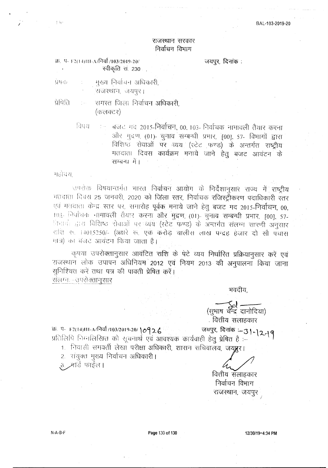## राजस्थान सरकार निर्वाचन विभाग

जयपुर, दिनांक:

स्वीकृति सं. २३० . , प्रेषक मुख्य निर्वाचन अधिकारी, राजस्थान, जयपुर।

क्र. पं- F2(14)HI-A/निर्वा /103/2019-20/

समस्त जिला निर्वाचन अधिकारी. प्रेविति المسرح (कलक्टर)

> बजट गद 2015-निर्वाचन, 00, 103- निर्वाचक नामावली तैयार करना विषया  $\sim 1000$ और मुद्रण, (01)- चुनाव सम्बन्धी प्रभार, [00], 57- विभागों द्वारा विशिष्ठ सेवाओं पर व्यय (स्टेट फण्ड) के अन्तर्गत राष्ट्रीय मतदाता दिवस कार्यक्रम मनाये जाने हेतू बजट आवंटन के सम्बन्ध में।

महोदयः

 $\pm3\,\mathrm{e}$ 

उपरोक्त विषयान्तर्गत भारत निर्वाचन आयोग के निर्देशानुसार राज्य में राष्ट्रीय गतदाता दिवस 25 जनवरी, 2020 को जिला स्तर, निर्वाचक रजिस्ट्रीकरण पदाधिकारी स्तर एवं मतदाता केन्द्र स्तर पर, समारोह पूर्वक मनाये जाने हेतु बजट मद 2015-निर्वाचन, 00, 103- निर्वाचक नामावली तैयार करना और मुद्रण (01)- चुनाव सम्बन्धी प्रभार, [00], 57-निवानी द्वारा विशिष्ठ रोवाओं पर व्यय (स्टेट फण्ड) के अन्तर्गत संलग्न सारणी अनुसार राशि रू. 14015250/- (अक्षरे रू. एक करोड़ चालीस लाख पन्द्रह हंजार दो सौ पचास भात्र) का बंजट आवंटन किया जाता है।

कृपया उपरोक्तानुसार आवंटित राशि के पेटे व्यय निर्धारित प्रक्रियानुसार करें एवं राजस्थान लोक उपापन अधिनियम 2012 एवं नियम 2013 की अनुपालना किया जाना सुनिश्चित करें तथा पत्र की पावती प्रेषित करें। संलग्नः-उपरोक्तानसार

भवदीय

(सभाष चन्द्र दानोदिया) . वित्तीय संलाहकार

क्र. प- +2(14)HI-A/निर्वा /103/2019-20/10926 जयपुर, दिनांक -31-12-19 प्रतिलिपि निग्नलिखित को सूचनार्थ एवं आवश्यक कार्यवाही हेतु प्रेषित है :-

1. निवासी समवर्ती लेखा परीक्षा अधिकारी, शासन सचिवालय, जयप्रूर।

2. रांयुक्त भूख्य निर्वाचन अधिकारी।

.३. .मार्ड फाईल ।

वित्तीय संलाहकार निर्वाचन विभाग राजस्थान, जयपुर